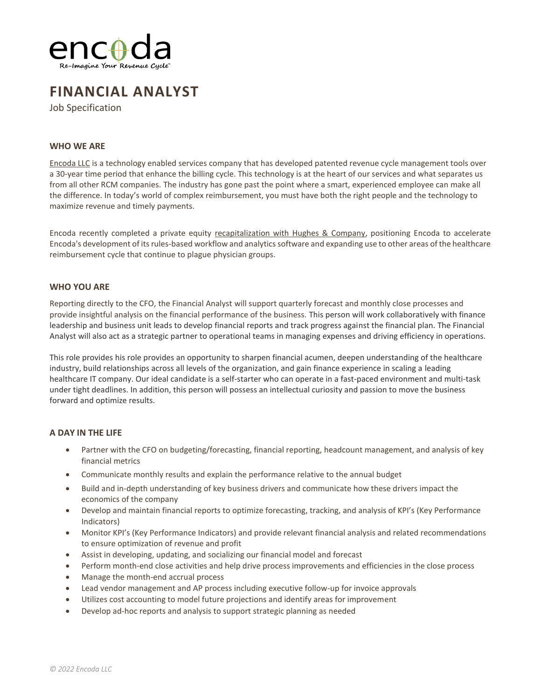

# **FINANCIAL ANALYST**

Job Specification

## **WHO WE ARE**

[Encoda LLC](https://encoda.com/) is a technology enabled services company that has developed patented revenue cycle management tools over a 30-year time period that enhance the billing cycle. This technology is at the heart of our services and what separates us from all other RCM companies. The industry has gone past the point where a smart, experienced employee can make all the difference. In today's world of complex reimbursement, you must have both the right people and the technology to maximize revenue and timely payments.

Encoda recently completed a private equity [recapitalization with Hughes & Company,](https://www.prnewswire.com/news-releases/encoda-announces-strategic-investment-from-hughes--company-301455553.html) positioning Encoda to accelerate Encoda's development of its rules-based workflow and analytics software and expanding use to other areas of the healthcare reimbursement cycle that continue to plague physician groups.

### **WHO YOU ARE**

Reporting directly to the CFO, the Financial Analyst will support quarterly forecast and monthly close processes and provide insightful analysis on the financial performance of the business. This person will work collaboratively with finance leadership and business unit leads to develop financial reports and track progress against the financial plan. The Financial Analyst will also act as a strategic partner to operational teams in managing expenses and driving efficiency in operations.

This role provides his role provides an opportunity to sharpen financial acumen, deepen understanding of the healthcare industry, build relationships across all levels of the organization, and gain finance experience in scaling a leading healthcare IT company. Our ideal candidate is a self-starter who can operate in a fast-paced environment and multi-task under tight deadlines. In addition, this person will possess an intellectual curiosity and passion to move the business forward and optimize results.

### **A DAY IN THE LIFE**

- Partner with the CFO on budgeting/forecasting, financial reporting, headcount management, and analysis of key financial metrics
- Communicate monthly results and explain the performance relative to the annual budget
- Build and in-depth understanding of key business drivers and communicate how these drivers impact the economics of the company
- Develop and maintain financial reports to optimize forecasting, tracking, and analysis of KPI's (Key Performance Indicators)
- Monitor KPI's (Key Performance Indicators) and provide relevant financial analysis and related recommendations to ensure optimization of revenue and profit
- Assist in developing, updating, and socializing our financial model and forecast
- Perform month-end close activities and help drive process improvements and efficiencies in the close process
- Manage the month-end accrual process
- Lead vendor management and AP process including executive follow-up for invoice approvals
- Utilizes cost accounting to model future projections and identify areas for improvement
- Develop ad-hoc reports and analysis to support strategic planning as needed